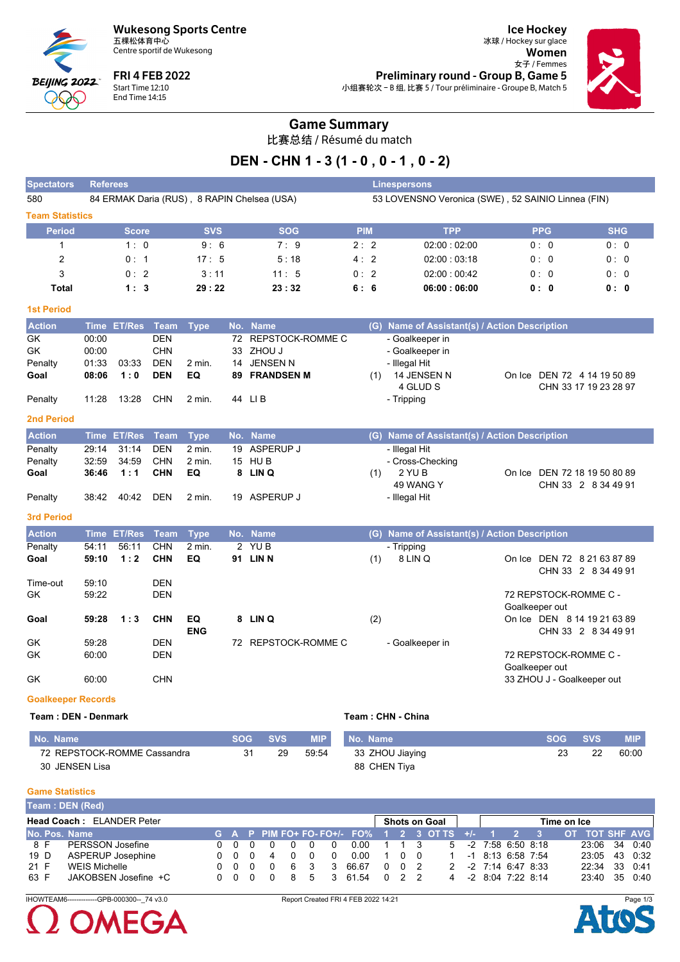**Wukesong Sports Centre** 五棵松体育中心



Centre sportif de Wukesong

**FRI 4 FEB 2022** Start Time 12:10<br>End Time 14:15

**Ice Hockey** 冰球 / Hockey sur glace Women 女子 / Femmes **Preliminary round - Group B, Game 5** 小组赛轮次-B组,比赛 5 / Tour préliminaire - Groupe B, Match 5



### **Game Summary**

比赛总结 / Résumé du match

## DEN - CHN 1 - 3 (1 - 0, 0 - 1, 0 - 2)

| <b>Spectators</b>         | <b>Referees</b> |                  |             |             |    |                                             |            |                                                    | <b>Linespersons</b>                           |                                                    |            |  |  |  |  |  |
|---------------------------|-----------------|------------------|-------------|-------------|----|---------------------------------------------|------------|----------------------------------------------------|-----------------------------------------------|----------------------------------------------------|------------|--|--|--|--|--|
| 580                       |                 |                  |             |             |    | 84 ERMAK Daria (RUS), 8 RAPIN Chelsea (USA) |            | 53 LOVENSNO Veronica (SWE), 52 SAINIO Linnea (FIN) |                                               |                                                    |            |  |  |  |  |  |
| <b>Team Statistics</b>    |                 |                  |             |             |    |                                             |            |                                                    |                                               |                                                    |            |  |  |  |  |  |
| <b>Period</b>             |                 | <b>Score</b>     |             | <b>SVS</b>  |    | <b>SOG</b>                                  | <b>PIM</b> |                                                    | <b>TPP</b>                                    | <b>PPG</b>                                         | <b>SHG</b> |  |  |  |  |  |
| $\mathbf{1}$              |                 | 1:0              |             | 9:6         |    | 7:9                                         | 2:2        |                                                    | 02:00:02:00                                   | 0:0                                                | 0:0        |  |  |  |  |  |
| 2                         |                 | 0:1              |             | 17:5        |    | 5:18                                        | 4:2        |                                                    | 02:00:03:18                                   | 0:0                                                | 0:0        |  |  |  |  |  |
| 3                         |                 | 0:2              |             | 3:11        |    | 11:5                                        | 0:2        |                                                    | 02:00:00:42                                   | 0:0                                                | 0:0        |  |  |  |  |  |
| <b>Total</b>              |                 | 1:3              |             | 29:22       |    | 23:32                                       | 6:6        |                                                    | 06:00:06:00                                   | 0:0                                                | 0:0        |  |  |  |  |  |
| <b>1st Period</b>         |                 |                  |             |             |    |                                             |            |                                                    |                                               |                                                    |            |  |  |  |  |  |
| <b>Action</b>             |                 | Time ET/Res Team |             | <b>Type</b> |    | No. Name                                    |            |                                                    | (G) Name of Assistant(s) / Action Description |                                                    |            |  |  |  |  |  |
| GK                        | 00:00           |                  | <b>DEN</b>  |             | 72 | REPSTOCK-ROMME C                            |            |                                                    | - Goalkeeper in                               |                                                    |            |  |  |  |  |  |
| <b>GK</b>                 | 00:00           |                  | <b>CHN</b>  |             |    | 33 ZHOU J                                   |            |                                                    | - Goalkeeper in                               |                                                    |            |  |  |  |  |  |
| Penalty                   | 01:33           | 03:33            | <b>DEN</b>  | $2$ min.    |    | 14 JENSEN N                                 |            |                                                    | - Illegal Hit                                 |                                                    |            |  |  |  |  |  |
| Goal                      | 08:06           | 1:0              | <b>DEN</b>  | EQ          | 89 | <b>FRANDSEN M</b>                           |            | (1)                                                | 14 JENSEN N                                   | On Ice DEN 72 4 14 19 50 89                        |            |  |  |  |  |  |
| Penalty                   | 11:28           | 13:28            | <b>CHN</b>  | $2$ min.    |    | 44 LIB                                      |            |                                                    | 4 GLUD S<br>- Tripping                        | CHN 33 17 19 23 28 97                              |            |  |  |  |  |  |
| <b>2nd Period</b>         |                 |                  |             |             |    |                                             |            |                                                    |                                               |                                                    |            |  |  |  |  |  |
| <b>Action</b>             | <b>Time</b>     | <b>ET/Res</b>    | <b>Team</b> | <b>Type</b> |    | No. Name                                    |            |                                                    | (G) Name of Assistant(s) / Action Description |                                                    |            |  |  |  |  |  |
| Penalty                   | 29:14           | 31:14            | <b>DEN</b>  | $2$ min.    | 19 | <b>ASPERUP J</b>                            |            |                                                    | - Illegal Hit                                 |                                                    |            |  |  |  |  |  |
| Penalty                   | 32:59           | 34:59            | <b>CHN</b>  | $2$ min.    |    | 15 HUB                                      |            |                                                    | - Cross-Checking                              |                                                    |            |  |  |  |  |  |
| Goal                      | 36:46           | 1:1              | <b>CHN</b>  | EQ          |    | 8 LIN Q                                     |            | (1)                                                | 2 YU B                                        | On Ice DEN 72 18 19 50 80 89                       |            |  |  |  |  |  |
| Penalty                   | 38:42           | 40:42            | <b>DEN</b>  | 2 min.      |    | 19 ASPERUP J                                |            |                                                    | 49 WANG Y<br>- Illegal Hit                    | CHN 33 2 8 34 49 91                                |            |  |  |  |  |  |
| <b>3rd Period</b>         |                 |                  |             |             |    |                                             |            |                                                    |                                               |                                                    |            |  |  |  |  |  |
| <b>Action</b>             |                 | Time ET/Res      | <b>Team</b> | <b>Type</b> |    | No. Name                                    |            |                                                    | (G) Name of Assistant(s) / Action Description |                                                    |            |  |  |  |  |  |
| Penalty                   | 54:11           | 56:11            | <b>CHN</b>  | $2$ min.    |    | 2 YUB                                       |            |                                                    | - Tripping                                    |                                                    |            |  |  |  |  |  |
| Goal                      | 59:10           | 1:2              | <b>CHN</b>  | EQ          |    | 91 LIN N                                    |            | (1)                                                | 8 LIN Q                                       | On Ice DEN 72 8 21 63 87 89<br>CHN 33 2 8 34 49 91 |            |  |  |  |  |  |
| Time-out                  | 59:10           |                  | <b>DEN</b>  |             |    |                                             |            |                                                    |                                               |                                                    |            |  |  |  |  |  |
| GK                        | 59:22           |                  | <b>DEN</b>  |             |    |                                             |            |                                                    |                                               | 72 REPSTOCK-ROMME C -                              |            |  |  |  |  |  |
| Goal                      | 59:28           | 1:3              | <b>CHN</b>  | EQ          |    | 8 LIN Q                                     |            | (2)                                                |                                               | Goalkeeper out<br>On Ice DEN 8 14 19 21 63 89      |            |  |  |  |  |  |
|                           |                 |                  |             | <b>ENG</b>  |    |                                             |            |                                                    |                                               | CHN 33 2 8 34 49 91                                |            |  |  |  |  |  |
| GK                        | 59:28           |                  | <b>DEN</b>  |             |    | 72 REPSTOCK-ROMME C                         |            |                                                    | - Goalkeeper in                               |                                                    |            |  |  |  |  |  |
| GK                        | 60:00           |                  | <b>DEN</b>  |             |    |                                             |            |                                                    |                                               | 72 REPSTOCK-ROMME C -                              |            |  |  |  |  |  |
| GK.                       | 60:00           |                  | <b>CHN</b>  |             |    |                                             |            |                                                    |                                               | Goalkeeper out<br>33 ZHOU J - Goalkeeper out       |            |  |  |  |  |  |
| <b>Goalkeeper Records</b> |                 |                  |             |             |    |                                             |            |                                                    |                                               |                                                    |            |  |  |  |  |  |
|                           |                 |                  |             |             |    |                                             |            |                                                    |                                               |                                                    |            |  |  |  |  |  |
| Team: DEN - Denmark       |                 |                  |             |             |    |                                             |            |                                                    | Team: CHN - China                             |                                                    |            |  |  |  |  |  |

| No. Name                    | <b>SOG</b> | <b>SVS</b> | <b>MIP</b> | No. Name        | <b>SOG</b> | svs' | <b>MIP</b> |
|-----------------------------|------------|------------|------------|-----------------|------------|------|------------|
| 72 REPSTOCK-ROMME Cassandra | 31         | 29         | 59.54      | 33 ZHOU Jiaying |            |      | 60:00      |
| 30 JENSEN Lisa              |            |            |            | 88 CHEN Tiya    |            |      |            |

#### **Game Statistics**

|                                  | Team : DEN (Red)     |  |     |  |          |                      |               |                                                                 |             |  |  |                     |                     |  |                     |               |  |  |
|----------------------------------|----------------------|--|-----|--|----------|----------------------|---------------|-----------------------------------------------------------------|-------------|--|--|---------------------|---------------------|--|---------------------|---------------|--|--|
| <b>Head Coach: ELANDER Peter</b> |                      |  |     |  |          | <b>Shots on Goal</b> |               |                                                                 | Time on Ice |  |  |                     |                     |  |                     |               |  |  |
| No. Pos. Name                    |                      |  |     |  |          |                      |               | G A P PIM FO+ FO-FO+/- FO% 1 2 3 OT TS +/- 1 2 3 OT TOT SHF AVG |             |  |  |                     |                     |  |                     |               |  |  |
| 8 F                              | PERSSON Josefine     |  | 000 |  | $\Omega$ | 0 0                  |               | 0.00                                                            | 1 1 3       |  |  |                     |                     |  | 5 -2 7:58 6:50 8:18 | 23:06 34 0:40 |  |  |
| 19 D                             | ASPERUP Josephine    |  |     |  | 0004     | 00                   | $\Omega$      | 0.00                                                            | 100         |  |  | 1 -1 8:13 6:58 7:54 |                     |  |                     | 23:05 43 0:32 |  |  |
| 21 F                             | WEIS Michelle        |  | 000 |  | - 0      | 6 3                  | $\mathcal{B}$ | 66.67                                                           | 002         |  |  |                     | 2 -2 7:14 6:47 8:33 |  |                     | 22:34 33 0.41 |  |  |
| 63 F                             | JAKOBSEN Josefine +C |  | 000 |  | റ        | 85                   | 3             | 61.54                                                           | 022         |  |  | 4                   | -2 8:04 7:22 8:14   |  |                     | 23:40 35 0:40 |  |  |

IHOWTEAM6-------------GPB-000300--\_74 v3.0



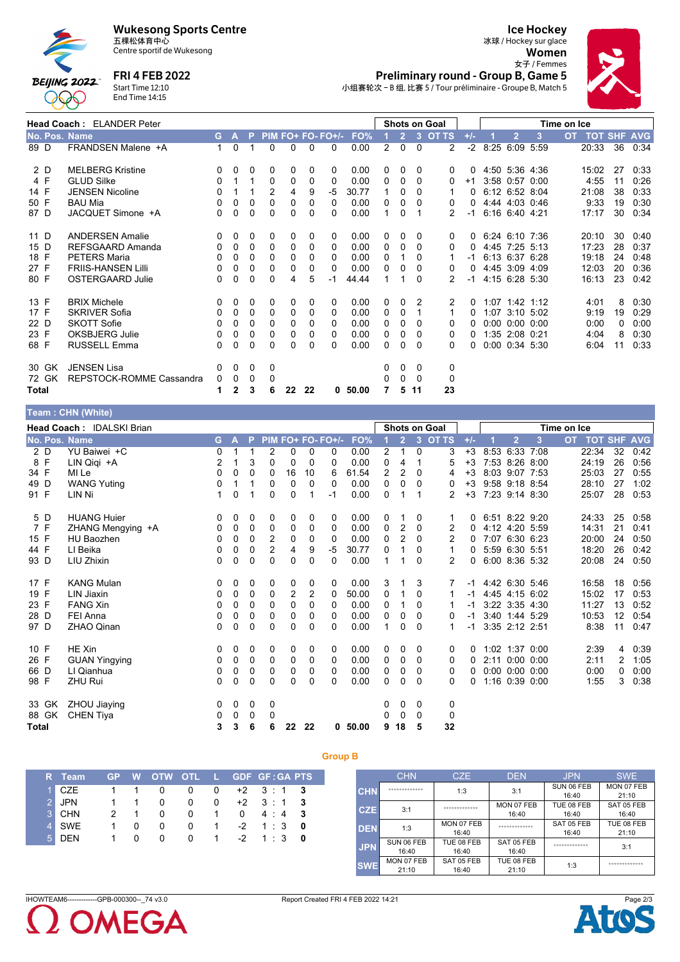



# **FRI 4 FEB 2022**

Centre sportif de Wukesong

Start Time 12:10<br>End Time 14:15

#### **Ice Hockey** 冰球 / Hockey sur glace

Women 女子 / Femmes Preliminary round - Group B, Game 5 小组赛轮次-B组,比赛 5 / Tour préliminaire - Groupe B, Match 5

|               | <b>Head Coach: ELANDER Peter</b> |              |              |              |   |    |    |                   |       |                |                |          | <b>Shots on Goal</b> |          |                |                      | Time on Ice |                |    |            |
|---------------|----------------------------------|--------------|--------------|--------------|---|----|----|-------------------|-------|----------------|----------------|----------|----------------------|----------|----------------|----------------------|-------------|----------------|----|------------|
| No. Pos. Name |                                  | G.           | A            | P            |   |    |    | PIM FO+ FO- FO+/- | FO%   |                | $\overline{2}$ | 3        | <b>OT TS</b>         | $+/-$    | $\overline{2}$ | 3                    | OT.         | <b>TOT SHF</b> |    | <b>AVG</b> |
| 89 D          | FRANDSEN Malene +A               | $\mathbf{1}$ | 0            | 1            | 0 | 0  | 0  | $\Omega$          | 0.00  | $\overline{2}$ | $\Omega$       | $\Omega$ | 2                    | $-2$     | 8:25 6:09 5:59 |                      |             | 20:33          | 36 | 0:34       |
| 2 D           | <b>MELBERG Kristine</b>          | $\Omega$     | 0            | 0            | 0 | 0  | 0  | 0                 | 0.00  | 0              | 0              | $\Omega$ | 0                    | 0        |                | 4:50 5:36 4:36       |             | 15:02          | 27 | 0:33       |
| 4 F           | <b>GLUD Silke</b>                | $\mathbf{0}$ |              |              | 0 | 0  | 0  | 0                 | 0.00  | 0              | 0              | 0        | 0                    | $+1$     | 3:58 0:57      | 0:00                 |             | 4:55           | 11 | 0:26       |
| 14 F          | <b>JENSEN Nicoline</b>           | $\Omega$     |              |              | 2 | 4  | 9  | -5                | 30.77 |                | 0              | 0        |                      | 0        | 6:12 6:52 8:04 |                      |             | 21:08          | 38 | 0:33       |
| 50 F          | <b>BAU Mia</b>                   | 0            | $\Omega$     | $\Omega$     | 0 | 0  | 0  | $\Omega$          | 0.00  | 0              | $\Omega$       | 0        | 0                    | 0        |                | 4:44 4:03 0:46       |             | 9:33           | 19 | 0:30       |
| 87 D          | JACQUET Simone +A                | 0            | 0            | 0            | 0 | 0  | 0  | 0                 | 0.00  |                | 0              |          | 2                    | -1       | 6:16 6:40 4:21 |                      |             | 17:17          | 30 | 0:34       |
| 11 D          | <b>ANDERSEN Amalie</b>           | $\Omega$     | 0            | 0            | 0 | 0  | 0  | 0                 | 0.00  | 0              | 0              | 0        | 0                    | $\Omega$ |                | 6:24 6:10 7:36       |             | 20:10          | 30 | 0:40       |
| 15 D          | REFSGAARD Amanda                 | 0            | 0            | 0            | 0 | 0  | 0  | 0                 | 0.00  | 0              | 0              | $\Omega$ | 0                    | 0        | 4.45 7:25 5:13 |                      |             | 17:23          | 28 | 0:37       |
| 18 F          | <b>PETERS Maria</b>              | $\mathbf{0}$ | 0            | $\Omega$     | 0 | 0  | 0  | 0                 | 0.00  | 0              |                | $\Omega$ |                      | -1       |                | 6:13 6:37 6:28       |             | 19:18          | 24 | 0:48       |
| 27 F          | <b>FRIIS-HANSEN Lilli</b>        | 0            | 0            | 0            | 0 | 0  | 0  | 0                 | 0.00  | 0              | 0              | 0        | 0                    | 0        |                | 4:45 3:09 4:09       |             | 12:03          | 20 | 0:36       |
| 80 F          | <b>OSTERGAARD Julie</b>          | 0            | 0            | 0            | 0 | 4  | 5  | -1                | 44.44 |                |                | 0        | 2                    | -1       |                | 4:15 6:28 5:30       |             | 16:13          | 23 | 0:42       |
| 13 F          | <b>BRIX Michele</b>              | $\Omega$     | 0            | 0            | 0 | 0  | 0  | 0                 | 0.00  | 0              | 0              | 2        | 2                    | 0        |                | $1:07$ 1:42 1:12     |             | 4:01           | 8  | 0:30       |
| 17 F          | <b>SKRIVER Sofia</b>             | 0            | 0            | 0            | 0 | 0  | 0  | 0                 | 0.00  | 0              | 0              |          |                      | 0        |                | 1:07 3:10 5:02       |             | 9:19           | 19 | 0:29       |
| 22 D          | <b>SKOTT Sofie</b>               | 0            | 0            | 0            | 0 | 0  | 0  | 0                 | 0.00  | 0              | 0              | 0        | 0                    | 0        |                | $0:00$ $0:00$ $0:00$ |             | 0:00           | 0  | 0:00       |
| 23 F          | OKSBJERG Julie                   | 0            | 0            | 0            | 0 | 0  | 0  | 0                 | 0.00  | 0              | 0              | 0        | 0                    | 0        | 1:35 2:08 0:21 |                      |             | 4.04           | 8  | 0:30       |
| 68 F          | <b>RUSSELL Emma</b>              | 0            | 0            | $\mathbf{0}$ | 0 | 0  | 0  | 0                 | 0.00  | 0              | 0              | 0        | 0                    | 0        |                | 0:00 0:34 5:30       |             | 6.04           | 11 | 0:33       |
| 30 GK         | <b>JENSEN Lisa</b>               | 0            | 0            | 0            | 0 |    |    |                   |       | 0              | 0              | $\Omega$ | 0                    |          |                |                      |             |                |    |            |
| 72 GK         | REPSTOCK-ROMME Cassandra         | $\mathbf 0$  | 0            | 0            | 0 |    |    |                   |       | 0              | 0              | $\Omega$ | 0                    |          |                |                      |             |                |    |            |
| Total         |                                  | 1            | $\mathbf{2}$ | 3            | 6 | 22 | 22 | 0                 | 50.00 | 7              | 5              | -11      | 23                   |          |                |                      |             |                |    |            |
|               | TAXABLE OF THE OWNER CAN         |              |              |              |   |    |    |                   |       |                |                |          |                      |          |                |                      |             |                |    |            |

|              | $\mathsf{F}$ real $\mathsf{F}$ . $\mathsf{C}$ $\mathsf{C}$ $\mathsf{C}$ $\mathsf{C}$ $\mathsf{C}$ $\mathsf{C}$ $\mathsf{C}$ $\mathsf{C}$ $\mathsf{C}$ $\mathsf{C}$ $\mathsf{C}$ $\mathsf{C}$ $\mathsf{C}$ $\mathsf{C}$ $\mathsf{C}$ $\mathsf{C}$ $\mathsf{C}$ $\mathsf{C}$ $\mathsf{C}$ $\mathsf{C}$ $\mathsf{C}$ $\mathsf{C}$ |                           |   |              |          |                |          |          |                   |       |                |                |                |                      |       |                |                      |      |             |            |    |                |
|--------------|--------------------------------------------------------------------------------------------------------------------------------------------------------------------------------------------------------------------------------------------------------------------------------------------------------------------------------|---------------------------|---|--------------|----------|----------------|----------|----------|-------------------|-------|----------------|----------------|----------------|----------------------|-------|----------------|----------------------|------|-------------|------------|----|----------------|
|              |                                                                                                                                                                                                                                                                                                                                | Head Coach: IDALSKI Brian |   |              |          |                |          |          |                   |       |                |                |                | <b>Shots on Goal</b> |       |                |                      |      | Time on Ice |            |    |                |
|              |                                                                                                                                                                                                                                                                                                                                | No. Pos. Name             | G | $\mathbf{A}$ | <b>P</b> |                |          |          | PIM FO+ FO- FO+/- | FO%   |                | $\overline{2}$ | 3 <sup>°</sup> | <b>OT TS</b>         | $+/-$ |                | $\overline{2}$       | 3    | <b>OT</b>   | <b>TOT</b> |    | <b>SHF AVG</b> |
|              | 2 D                                                                                                                                                                                                                                                                                                                            | YU Baiwei +C              | 0 |              |          | 2              | 0        | 0        | 0                 | 0.00  | 2              | $\mathbf{1}$   | $\mathbf{0}$   | 3                    | $+3$  |                | 8:53 6:33            | 7:08 |             | 22:34      | 32 | 0:42           |
| 8 F          |                                                                                                                                                                                                                                                                                                                                | LIN Qiqi +A               | 2 |              | 3        | $\Omega$       | 0        | $\Omega$ | $\Omega$          | 0.00  | 0              | 4              |                | 5                    | $+3$  |                | 7:53 8:26 8:00       |      |             | 24:19      | 26 | 0:56           |
| 34 F         |                                                                                                                                                                                                                                                                                                                                | MI Le                     | 0 | 0            | 0        | 0              | 16       | 10       | 6                 | 61.54 | $\overline{2}$ | $\overline{2}$ | 0              | 4                    | $+3$  |                | 8:03 9:07 7:53       |      |             | 25:03      | 27 | 0:55           |
| 49 D         |                                                                                                                                                                                                                                                                                                                                | <b>WANG Yuting</b>        | 0 | 1            |          | 0              | 0        | 0        | $\Omega$          | 0.00  | 0              | 0              | $\Omega$       | 0                    | $+3$  |                | 9:58 9:18 8:54       |      |             | 28:10      | 27 | 1:02           |
| 91 F         |                                                                                                                                                                                                                                                                                                                                | LIN Ni                    |   | 0            |          | $\Omega$       | 0        |          | $-1$              | 0.00  | $\Omega$       |                |                | 2                    | $+3$  |                | 7:23 9:14 8:30       |      |             | 25:07      | 28 | 0:53           |
|              | 5 D                                                                                                                                                                                                                                                                                                                            | <b>HUANG Huier</b>        | 0 | 0            | 0        | 0              | 0        | 0        | 0                 | 0.00  | 0              | 1              | 0              |                      | 0     | 6.51 8.22 9.20 |                      |      |             | 24:33      | 25 | 0:58           |
| 7 F          |                                                                                                                                                                                                                                                                                                                                | ZHANG Mengying +A         | 0 | 0            | 0        | 0              | 0        | 0        | 0                 | 0.00  | 0              | 2              | $\mathbf{0}$   | 2                    | 0     |                | 4:12 4:20 5:59       |      |             | 14:31      | 21 | 0:41           |
| 15 F         |                                                                                                                                                                                                                                                                                                                                | <b>HU Baozhen</b>         | 0 | 0            | 0        | 2              | $\Omega$ | $\Omega$ | 0                 | 0.00  | 0              | 2              | $\Omega$       | 2                    | 0     |                | 7:07 6:30 6:23       |      |             | 20:00      | 24 | 0:50           |
| 44 F         |                                                                                                                                                                                                                                                                                                                                | LI Beika                  | 0 | 0            | 0        | $\overline{2}$ | 4        | 9        | -5                | 30.77 | 0              | 1              | $\Omega$       | 1                    | 0     |                | 5:59 6:30 5:51       |      |             | 18:20      | 26 | 0:42           |
| 93 D         |                                                                                                                                                                                                                                                                                                                                | LIU Zhixin                | 0 | 0            | 0        | $\Omega$       | 0        | $\Omega$ | 0                 | 0.00  | 1              | 1              | 0              | $\overline{2}$       | 0     |                | 6:00 8:36 5:32       |      |             | 20:08      | 24 | 0:50           |
| 17 F         |                                                                                                                                                                                                                                                                                                                                | <b>KANG Mulan</b>         | 0 | 0            | 0        | 0              | 0        | 0        | 0                 | 0.00  | 3              | 1              | 3              |                      | -1    |                | 4:42 6:30 5:46       |      |             | 16:58      | 18 | 0:56           |
| 19 F         |                                                                                                                                                                                                                                                                                                                                | LIN Jiaxin                | 0 | 0            | 0        | 0              | 2        | 2        | 0                 | 50.00 | 0              | 1              | $\Omega$       |                      | -1    |                | 4:45 4:15 6:02       |      |             | 15:02      | 17 | 0:53           |
| 23 F         |                                                                                                                                                                                                                                                                                                                                | <b>FANG Xin</b>           | 0 | 0            | 0        | $\Omega$       | $\Omega$ | $\Omega$ | 0                 | 0.00  | 0              | 1              | 0              |                      | -1    |                | 3:22 3:35 4:30       |      |             | 11:27      | 13 | 0:52           |
| 28 D         |                                                                                                                                                                                                                                                                                                                                | FEI Anna                  | 0 | 0            | 0        | 0              | 0        | 0        | 0                 | 0.00  | $\Omega$       | 0              | 0              | 0                    | $-1$  |                | 3:40 1:44 5:29       |      |             | 10:53      | 12 | 0:54           |
| 97 D         |                                                                                                                                                                                                                                                                                                                                | ZHAO Qinan                | 0 | 0            | 0        | $\Omega$       | $\Omega$ | $\Omega$ | $\Omega$          | 0.00  | 1              | 0              | $\Omega$       | 1                    | $-1$  |                | 3:35 2:12 2:51       |      |             | 8:38       | 11 | 0:47           |
| 10 F         |                                                                                                                                                                                                                                                                                                                                | HE Xin                    | 0 | 0            | 0        | 0              | 0        | 0        | 0                 | 0.00  | 0              | 0              | 0              | 0                    | 0     |                | 1:02 1:37 0:00       |      |             | 2:39       | 4  | 0:39           |
| 26 F         |                                                                                                                                                                                                                                                                                                                                | <b>GUAN Yingying</b>      | 0 | 0            | 0        | 0              | 0        | 0        | 0                 | 0.00  | $\Omega$       | 0              | 0              | 0                    | 0     |                | 2:11 0:00 0:00       |      |             | 2:11       | 2  | 1:05           |
| 66 D         |                                                                                                                                                                                                                                                                                                                                | LI Qianhua                | 0 | 0            | 0        | $\Omega$       | $\Omega$ | 0        | 0                 | 0.00  | $\mathbf{0}$   | 0              | 0              | 0                    | 0     |                | $0:00$ $0:00$ $0:00$ |      |             | 0:00       | 0  | 0:00           |
| 98 F         |                                                                                                                                                                                                                                                                                                                                | <b>ZHU Rui</b>            | 0 | 0            | 0        | 0              | 0        | 0        | 0                 | 0.00  | 0              | 0              | 0              | 0                    | 0     |                | 1:16 0:39 0:00       |      |             | 1:55       | 3  | 0:38           |
|              | 33 GK                                                                                                                                                                                                                                                                                                                          | ZHOU Jiaying              | 0 | 0            | 0        | 0              |          |          |                   |       | 0              | 0              | $\mathbf{0}$   | $\mathbf 0$          |       |                |                      |      |             |            |    |                |
|              | 88 GK                                                                                                                                                                                                                                                                                                                          | <b>CHEN Tiya</b>          | 0 | 0            | 0        | 0              |          |          |                   |       | 0              | 0              | $\Omega$       | 0                    |       |                |                      |      |             |            |    |                |
| <b>Total</b> |                                                                                                                                                                                                                                                                                                                                |                           | 3 | 3            | 6        | 6              | 22       | 22       | 0                 | 50.00 | 9              | 18             | 5              | 32                   |       |                |                      |      |             |            |    |                |

|                | R Team     | 'GP W          |              |          |              |                |   | OTW OTL L GDF GF:GA PTS |              |
|----------------|------------|----------------|--------------|----------|--------------|----------------|---|-------------------------|--------------|
|                | $1$ CZE    | 1.             |              | 0        | $\mathbf{0}$ | 0              |   | $+2$ 3:1 3              |              |
|                | 2 JPN      | $\overline{1}$ |              | 0        | $\Omega$     | 0              |   | $+2$ 3 1 3              |              |
|                | 3 CHN      |                |              | 0        | O            | 1              | 0 | $4 \cdot 4$ 3           |              |
| $\overline{4}$ | SWE        | 1              | $\mathbf{0}$ | $^{(1)}$ | $^{(1)}$     | -1             |   | $-2$ 1 : 3 0            |              |
| $\overline{5}$ | <b>DEN</b> |                | $\mathbf{I}$ | 0        | $^{(1)}$     | $\overline{1}$ |   | $-2 \t1:3$              | $\mathbf{0}$ |

|            | <b>CHN</b>          | CZE                 | <b>DEN</b>          | <b>JPN</b>          | <b>SWE</b>          |
|------------|---------------------|---------------------|---------------------|---------------------|---------------------|
| <b>CHN</b> | *************       | 1:3                 | 3:1                 | SUN 06 FEB<br>16:40 | MON 07 FEB<br>21:10 |
| <b>CZE</b> | 3:1                 | *************       | MON 07 FEB<br>16:40 | TUE 08 FEB<br>16:40 | SAT 05 FEB<br>16:40 |
| <b>DEN</b> | 1:3                 | MON 07 FEB<br>16:40 | *************       | SAT 05 FEB<br>16:40 | TUE 08 FEB<br>21:10 |
| <b>JPN</b> | SUN 06 FEB<br>16:40 | TUE 08 FEB<br>16:40 | SAT 05 FEB<br>16:40 | *************       | 3:1                 |
| <b>SWE</b> | MON 07 FEB<br>21:10 | SAT 05 FEB<br>16:40 | TUE 08 FEB<br>21:10 | 1:3                 | *************       |

IHOWTEAM6-------------GPB-000300--\_74 v3.0



**Group B**